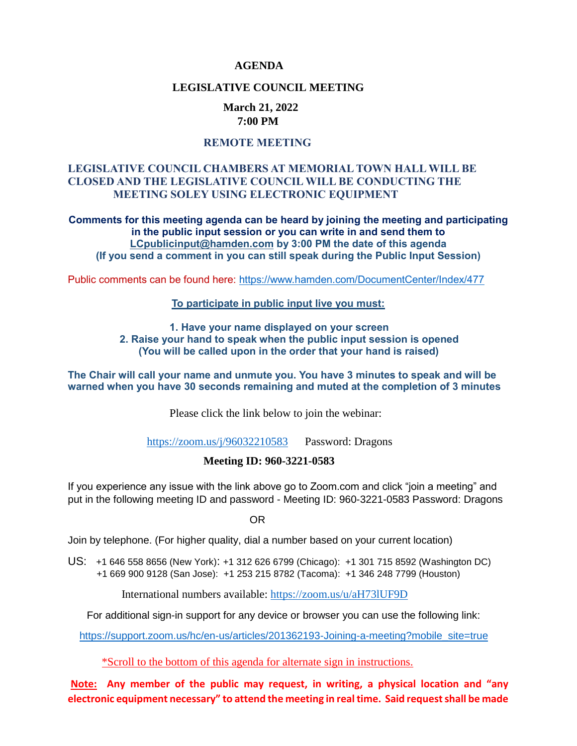#### **AGENDA**

#### **LEGISLATIVE COUNCIL MEETING**

#### **March 21, 2022 7:00 PM**

#### **REMOTE MEETING**

#### **LEGISLATIVE COUNCIL CHAMBERS AT MEMORIAL TOWN HALL WILL BE CLOSED AND THE LEGISLATIVE COUNCIL WILL BE CONDUCTING THE MEETING SOLEY USING ELECTRONIC EQUIPMENT**

**Comments for this meeting agenda can be heard by joining the meeting and participating in the public input session or you can write in and send them to [LCpublicinput@hamden.com](mailto:LCpublicinput@hamden.com) by 3:00 PM the date of this agenda (If you send a comment in you can still speak during the Public Input Session)**

Public comments can be found here:<https://www.hamden.com/DocumentCenter/Index/477>

#### **To participate in public input live you must:**

**1. Have your name displayed on your screen 2. Raise your hand to speak when the public input session is opened (You will be called upon in the order that your hand is raised)** 

**The Chair will call your name and unmute you. You have 3 minutes to speak and will be warned when you have 30 seconds remaining and muted at the completion of 3 minutes**

Please click the link below to join the webinar:

<https://zoom.us/j/96032210583>Password: Dragons

#### **Meeting ID: 960-3221-0583**

If you experience any issue with the link above go to Zoom.com and click "join a meeting" and put in the following meeting ID and password - Meeting ID: 960-3221-0583 Password: Dragons

OR

Join by telephone. (For higher quality, dial a number based on your current location)

US: [+1 646 558 8656 \(New York\)](tel:+16465588656): [+1 312 626 6799 \(Chicago\):](tel:+13126266799) [+1 301 715 8592 \(Washington DC\)](tel:+13017158592) +1 669 900 9128 (San Jose): [+1 253 215 8782 \(Tacoma\):](tel:+12532158782) [+1 346 248 7799 \(Houston\)](tel:+13462487799)

International numbers available:<https://zoom.us/u/aH73lUF9D>

For additional sign-in support for any device or browser you can use the following link:

[https://support.zoom.us/hc/en-us/articles/201362193-Joining-a-meeting?mobile\\_site=true](https://support.zoom.us/hc/en-us/articles/201362193-Joining-a-meeting?mobile_site=true)

\*Scroll to the bottom of this agenda for alternate sign in instructions.

**Note: Any member of the public may request, in writing, a physical location and "any electronic equipment necessary" to attend the meeting in real time. Said request shall be made**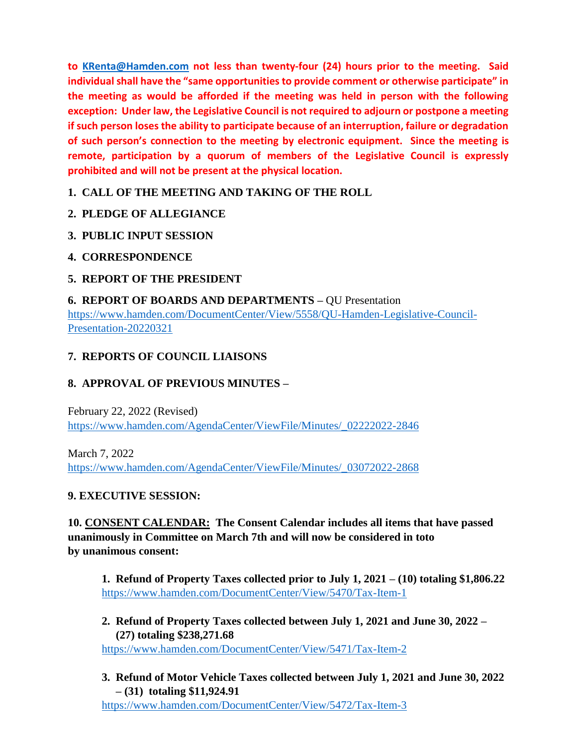**to [KRenta@Hamden.com](mailto:KRenta@Hamden.com) not less than twenty-four (24) hours prior to the meeting. Said individual shall have the "same opportunities to provide comment or otherwise participate" in the meeting as would be afforded if the meeting was held in person with the following exception: Under law, the Legislative Council is not required to adjourn or postpone a meeting if such person loses the ability to participate because of an interruption, failure or degradation of such person's connection to the meeting by electronic equipment. Since the meeting is remote, participation by a quorum of members of the Legislative Council is expressly prohibited and will not be present at the physical location.**

**1. CALL OF THE MEETING AND TAKING OF THE ROLL**

- **2. PLEDGE OF ALLEGIANCE**
- **3. PUBLIC INPUT SESSION**
- **4. CORRESPONDENCE**

# **5. REPORT OF THE PRESIDENT**

**6. REPORT OF BOARDS AND DEPARTMENTS –** QU Presentation [https://www.hamden.com/DocumentCenter/View/5558/QU-Hamden-Legislative-Council-](https://www.hamden.com/DocumentCenter/View/5558/QU-Hamden-Legislative-Council-Presentation-20220321)[Presentation-20220321](https://www.hamden.com/DocumentCenter/View/5558/QU-Hamden-Legislative-Council-Presentation-20220321)

# **7. REPORTS OF COUNCIL LIAISONS**

# **8. APPROVAL OF PREVIOUS MINUTES –**

February 22, 2022 (Revised) [https://www.hamden.com/AgendaCenter/ViewFile/Minutes/\\_02222022-2846](https://www.hamden.com/AgendaCenter/ViewFile/Minutes/_02222022-2846)

March 7, 2022 [https://www.hamden.com/AgendaCenter/ViewFile/Minutes/\\_03072022-2868](https://www.hamden.com/AgendaCenter/ViewFile/Minutes/_03072022-2868)

# **9. EXECUTIVE SESSION:**

**10. CONSENT CALENDAR: The Consent Calendar includes all items that have passed unanimously in Committee on March 7th and will now be considered in toto by unanimous consent:**

**1. Refund of Property Taxes collected prior to July 1, 2021 – (10) totaling \$1,806.22** <https://www.hamden.com/DocumentCenter/View/5470/Tax-Item-1>

**2. Refund of Property Taxes collected between July 1, 2021 and June 30, 2022 – (27) totaling \$238,271.68**

<https://www.hamden.com/DocumentCenter/View/5471/Tax-Item-2>

**3. Refund of Motor Vehicle Taxes collected between July 1, 2021 and June 30, 2022 – (31) totaling \$11,924.91**

<https://www.hamden.com/DocumentCenter/View/5472/Tax-Item-3>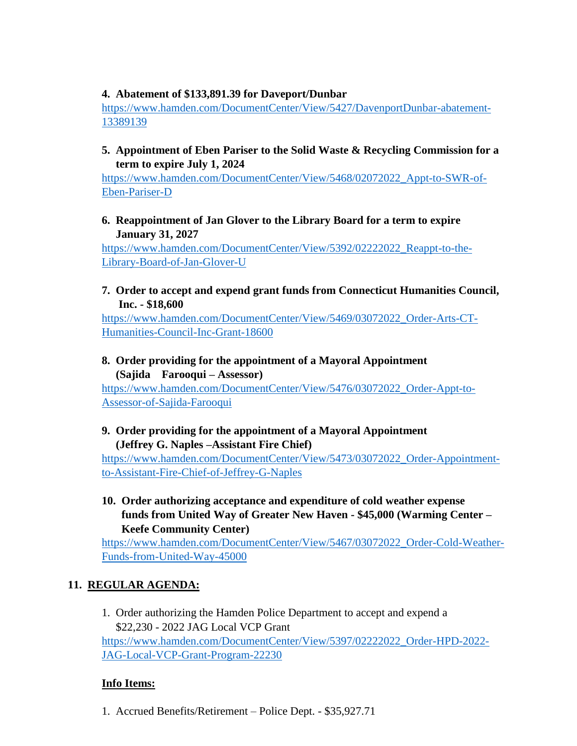#### **4. Abatement of \$133,891.39 for Daveport/Dunbar**

[https://www.hamden.com/DocumentCenter/View/5427/DavenportDunbar-abatement-](https://www.hamden.com/DocumentCenter/View/5427/DavenportDunbar-abatement-13389139)[13389139](https://www.hamden.com/DocumentCenter/View/5427/DavenportDunbar-abatement-13389139)

### **5. Appointment of Eben Pariser to the Solid Waste & Recycling Commission for a term to expire July 1, 2024**

[https://www.hamden.com/DocumentCenter/View/5468/02072022\\_Appt-to-SWR-of-](https://www.hamden.com/DocumentCenter/View/5468/02072022_Appt-to-SWR-of-Eben-Pariser-D)[Eben-Pariser-D](https://www.hamden.com/DocumentCenter/View/5468/02072022_Appt-to-SWR-of-Eben-Pariser-D)

### **6. Reappointment of Jan Glover to the Library Board for a term to expire January 31, 2027**

[https://www.hamden.com/DocumentCenter/View/5392/02222022\\_Reappt-to-the-](https://www.hamden.com/DocumentCenter/View/5392/02222022_Reappt-to-the-Library-Board-of-Jan-Glover-U)[Library-Board-of-Jan-Glover-U](https://www.hamden.com/DocumentCenter/View/5392/02222022_Reappt-to-the-Library-Board-of-Jan-Glover-U)

### **7. Order to accept and expend grant funds from Connecticut Humanities Council, Inc. - \$18,600**

[https://www.hamden.com/DocumentCenter/View/5469/03072022\\_Order-Arts-CT-](https://www.hamden.com/DocumentCenter/View/5469/03072022_Order-Arts-CT-Humanities-Council-Inc-Grant-18600)[Humanities-Council-Inc-Grant-18600](https://www.hamden.com/DocumentCenter/View/5469/03072022_Order-Arts-CT-Humanities-Council-Inc-Grant-18600)

## **8. Order providing for the appointment of a Mayoral Appointment (Sajida Farooqui – Assessor)**

[https://www.hamden.com/DocumentCenter/View/5476/03072022\\_Order-Appt-to-](https://www.hamden.com/DocumentCenter/View/5476/03072022_Order-Appt-to-Assessor-of-Sajida-Farooqui)[Assessor-of-Sajida-Farooqui](https://www.hamden.com/DocumentCenter/View/5476/03072022_Order-Appt-to-Assessor-of-Sajida-Farooqui)

### **9. Order providing for the appointment of a Mayoral Appointment (Jeffrey G. Naples –Assistant Fire Chief)**

[https://www.hamden.com/DocumentCenter/View/5473/03072022\\_Order-Appointment](https://www.hamden.com/DocumentCenter/View/5473/03072022_Order-Appointment-to-Assistant-Fire-Chief-of-Jeffrey-G-Naples)[to-Assistant-Fire-Chief-of-Jeffrey-G-Naples](https://www.hamden.com/DocumentCenter/View/5473/03072022_Order-Appointment-to-Assistant-Fire-Chief-of-Jeffrey-G-Naples)

**10. Order authorizing acceptance and expenditure of cold weather expense funds from United Way of Greater New Haven - \$45,000 (Warming Center – Keefe Community Center)**

[https://www.hamden.com/DocumentCenter/View/5467/03072022\\_Order-Cold-Weather-](https://www.hamden.com/DocumentCenter/View/5467/03072022_Order-Cold-Weather-Funds-from-United-Way-45000)[Funds-from-United-Way-45000](https://www.hamden.com/DocumentCenter/View/5467/03072022_Order-Cold-Weather-Funds-from-United-Way-45000)

# **11. REGULAR AGENDA:**

1. Order authorizing the Hamden Police Department to accept and expend a \$22,230 - 2022 JAG Local VCP Grant [https://www.hamden.com/DocumentCenter/View/5397/02222022\\_Order-HPD-2022-](https://www.hamden.com/DocumentCenter/View/5397/02222022_Order-HPD-2022-JAG-Local-VCP-Grant-Program-22230) [JAG-Local-VCP-Grant-Program-22230](https://www.hamden.com/DocumentCenter/View/5397/02222022_Order-HPD-2022-JAG-Local-VCP-Grant-Program-22230)

# **Info Items:**

1. Accrued Benefits/Retirement – Police Dept. - \$35,927.71